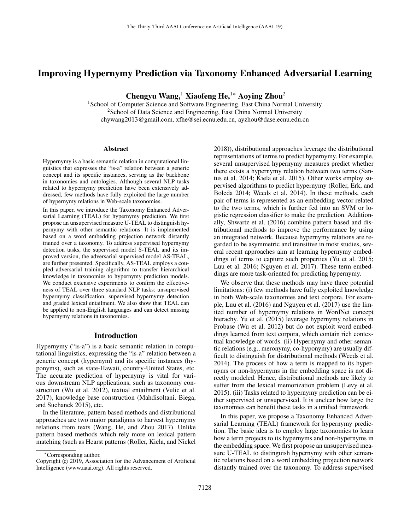# Improving Hypernymy Prediction via Taxonomy Enhanced Adversarial Learning

Chengyu Wang,<sup>1</sup> Xiaofeng He,<sup>1</sup>\* Aoying Zhou<sup>2</sup>

<sup>1</sup>School of Computer Science and Software Engineering, East China Normal University  $2$ School of Data Science and Engineering, East China Normal University chywang2013@gmail.com, xfhe@sei.ecnu.edu.cn, ayzhou@dase.ecnu.edu.cn

#### **Abstract**

Hypernymy is a basic semantic relation in computational linguistics that expresses the "is-a" relation between a generic concept and its specific instances, serving as the backbone in taxonomies and ontologies. Although several NLP tasks related to hypernymy prediction have been extensively addressed, few methods have fully exploited the large number of hypernymy relations in Web-scale taxonomies.

In this paper, we introduce the Taxonomy Enhanced Adversarial Learning (TEAL) for hypernymy prediction. We first propose an unsupervised measure U-TEAL to distinguish hypernymy with other semantic relations. It is implemented based on a word embedding projection network distantly trained over a taxonomy. To address supervised hypernymy detection tasks, the supervised model S-TEAL and its improved version, the adversarial supervised model AS-TEAL, are further presented. Specifically, AS-TEAL employs a coupled adversarial training algorithm to transfer hierarchical knowledge in taxonomies to hypernymy prediction models. We conduct extensive experiments to confirm the effectiveness of TEAL over three standard NLP tasks: unsupervised hypernymy classification, supervised hypernymy detection and graded lexical entailment. We also show that TEAL can be applied to non-English languages and can detect missing hypernymy relations in taxonomies.

## Introduction

Hypernymy ("is-a") is a basic semantic relation in computational linguistics, expressing the "is-a" relation between a generic concept (hypernym) and its specific instances (hyponyms), such as state-Hawaii, country-United States, etc. The accurate prediction of hypernymy is vital for various downstream NLP applications, such as taxonomy construction (Wu et al. 2012), textual entailment (Vulic et al. 2017), knowledge base construction (Mahdisoltani, Biega, and Suchanek 2015), etc.

In the literature, pattern based methods and distributional approaches are two major paradigms to harvest hypernymy relations from texts (Wang, He, and Zhou 2017). Unlike pattern based methods which rely more on lexical pattern matching (such as Hearst patterns (Roller, Kiela, and Nickel 2018)), distributional approaches leverage the distributional representations of terms to predict hypernymy. For example, several unsupervised hypernymy measures predict whether there exists a hypernymy relation between two terms (Santus et al. 2014; Kiela et al. 2015). Other works employ supervised algorithms to predict hypernymy (Roller, Erk, and Boleda 2014; Weeds et al. 2014). In these methods, each pair of terms is represented as an embedding vector related to the two terms, which is further fed into an SVM or logistic regression classifier to make the prediction. Additionally, Shwartz et al. (2016) combine pattern based and distributional methods to improve the performance by using an integrated network. Because hypernymy relations are regarded to be asymmetric and transitive in most studies, several recent approaches aim at learning hypernymy embeddings of terms to capture such properties (Yu et al. 2015; Luu et al. 2016; Nguyen et al. 2017). These term embeddings are more task-oriented for predicting hypernymy.

We observe that these methods may have three potential limitations: (i) few methods have fully exploited knowledge in both Web-scale taxonomies and text corpora. For example, Luu et al. (2016) and Nguyen et al. (2017) use the limited number of hypernymy relations in WordNet concept hierachy. Yu et al. (2015) leverage hypernymy relations in Probase (Wu et al. 2012) but do not exploit word embeddings learned from text corpora, which contain rich contextual knowledge of words. (ii) Hypernymy and other semantic relations (e.g., meronymy, co-hyponymy) are usually difficult to distinguish for distributional methods (Weeds et al. 2014). The process of how a term is mapped to its hypernyms or non-hypernyms in the embedding space is not directly modeled. Hence, distributional methods are likely to suffer from the lexical memorization problem (Levy et al. 2015). (iii) Tasks related to hypernymy prediction can be either supervised or unsupervised. It is unclear how large the taxonomies can benefit these tasks in a unified framework.

In this paper, we propose a Taxonomy Enhanced Adversarial Learning (TEAL) framework for hypernymy prediction. The basic idea is to employ large taxonomies to learn how a term projects to its hypernyms and non-hypernyms in the embedding space. We first propose an unsupervised measure U-TEAL to distinguish hypernymy with other semantic relations based on a word embedding projection network distantly trained over the taxonomy. To address supervised

<sup>∗</sup>Corresponding author.

Copyright  $\hat{C}$  2019, Association for the Advancement of Artificial Intelligence (www.aaai.org). All rights reserved.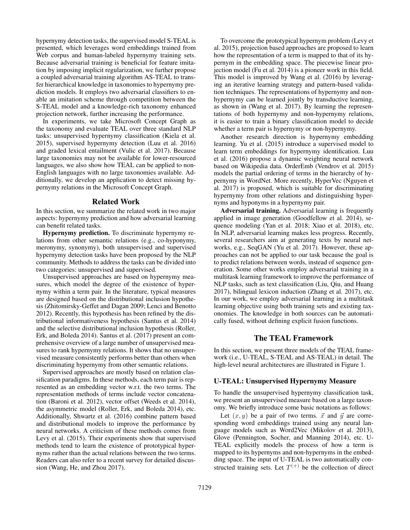hypernymy detection tasks, the supervised model S-TEAL is presented, which leverages word embeddings trained from Web corpus and human-labeled hypernymy training sets. Because adversarial training is beneficial for feature imitation by imposing implicit regularization, we further propose a coupled adversarial training algorithm AS-TEAL to transfer hierarchical knowledge in taxonomies to hypernymy prediction models. It employs two adversarial classifiers to enable an imitation scheme through competition between the S-TEAL model and a knowledge-rich taxonomy enhanced projection network, further increasing the performance.

In experiments, we take Microsoft Concept Graph as the taxonomy and evaluate TEAL over three standard NLP tasks: unsupervised hypernymy classification (Kiela et al. 2015), supervised hypernymy detection (Luu et al. 2016) and graded lexical entailment (Vulic et al. 2017). Because large taxonomies may not be available for lower-resourced languages, we also show how TEAL can be applied to non-English languages with no large taxonomies available. Additionally, we develop an application to detect missing hypernymy relations in the Microsoft Concept Graph.

#### Related Work

In this section, we summarize the related work in two major aspects: hypernymy prediction and how adversarial learning can benefit related tasks.

Hypernymy prediction. To discriminate hypernymy relations from other semantic relations (e.g., co-hyponymy, meronymy, synonymy), both unsupervised and supervised hypernymy detection tasks have been proposed by the NLP community. Methods to address the tasks can be divided into two categories: unsupervised and supervised.

Unsupervised approaches are based on hypernymy measures, which model the degree of the existence of hypernymy within a term pair. In the literature, typical measures are designed based on the distributional inclusion hypothesis (Zhitomirsky-Geffet and Dagan 2009; Lenci and Benotto 2012). Recently, this hypothesis has been refined by the distributional informativeness hypothesis (Santus et al. 2014) and the selective distributional inclusion hypothesis (Roller, Erk, and Boleda 2014). Santus et al. (2017) present an comprehensive overview of a large number of unsupervised measures to rank hypernymy relations. It shows that no unsupervised measure consistently performs better than others when discriminating hypernymy from other semantic relations.

Supervised approaches are mostly based on relation classification paradigms. In these methods, each term pair is represented as an embedding vector w.r.t. the two terms. The representation methods of terms include vector concatenation (Baroni et al. 2012), vector offset (Weeds et al. 2014), the asymmetric model (Roller, Erk, and Boleda 2014), etc. Additionally, Shwartz et al. (2016) combine pattern based and distributional models to improve the performance by neural networks. A criticism of these methods comes from Levy et al. (2015). Their experiments show that supervised methods tend to learn the existence of prototypical hypernyms rather than the actual relations between the two terms. Readers can also refer to a recent survey for detailed discussion (Wang, He, and Zhou 2017).

To overcome the prototypical hypernym problem (Levy et al. 2015), projection based approaches are proposed to learn how the representation of a term is mapped to that of its hypernym in the embedding space. The piecewise linear projection model (Fu et al. 2014) is a pioneer work in this field. This model is improved by Wang et al. (2016) by leveraging an iterative learning strategy and pattern-based validation techniques. The representations of hypernymy and nonhypernymy can be learned jointly by transductive learning, as shown in (Wang et al. 2017). By learning the representations of both hypernymy and non-hypernymy relations, it is easier to train a binary classification model to decide whether a term pair is hypernymy or non-hypernymy.

Another research direction is hypernymy embedding learning. Yu et al. (2015) introduce a supervised model to learn term embeddings for hypernymy identification. Luu et al. (2016) propose a dynamic weighting neural network based on Wikipedia data. OrderEmb (Vendrov et al. 2015) models the partial ordering of terms in the hierarchy of hypernymy in WordNet. More recently, HyperVec (Nguyen et al. 2017) is proposed, which is suitable for discriminating hypernymy from other relations and distinguishing hypernyms and hyponyms in a hypernymy pair.

Adversarial training. Adversarial learning is frequently applied in image generation (Goodfellow et al. 2014), sequence modeling (Yan et al. 2018; Xiao et al. 2018), etc. In NLP, adversarial learning makes less progress. Recently, several researchers aim at generating texts by neural networks, e.g., SeqGAN (Yu et al. 2017). However, these approaches can not be applied to our task because the goal is to predict relations between words, instead of sequence generation. Some other works employ adversarial training in a multitask learning framework to improve the performance of NLP tasks, such as text classification (Liu, Qiu, and Huang 2017), bilingual lexicon induction (Zhang et al. 2017), etc. In our work, we employ adversarial learning in a multitask learning objective using both training sets and existing taxonomies. The knowledge in both sources can be automatically fused, without defining explicit fusion functions.

## The TEAL Framework

In this section, we present three models of the TEAL framework (i.e., U-TEAL, S-TEAL and AS-TEAL) in detail. The high-level neural architectures are illustrated in Figure 1.

#### U-TEAL: Unsupervised Hypernymy Measure

To handle the unsupervised hypernymy classification task, we present an unsupervised measure based on a large taxonomy. We briefly introduce some basic notations as follows:

Let  $(x, y)$  be a pair of two terms.  $\vec{x}$  and  $\vec{y}$  are corresponding word embeddings trained using any neural language models such as Word2Vec (Mikolov et al. 2013), Glove (Pennington, Socher, and Manning 2014), etc. U-TEAL explicitly models the process of how a term is mapped to its hypernyms and non-hypernyms in the embedding space. The input of U-TEAL is two automatically constructed training sets. Let  $T^{(+)}$  be the collection of direct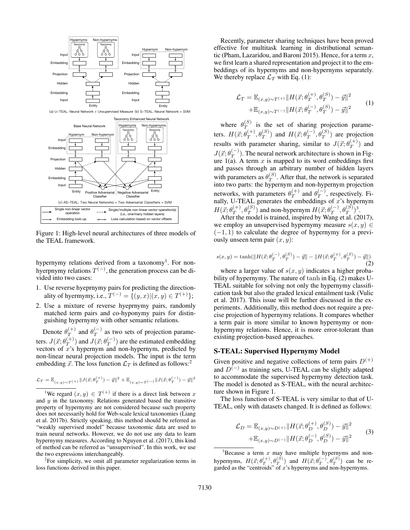

Figure 1: High-level neural architectures of three models of the TEAL framework.

hypernymy relations derived from a taxonomy<sup>1</sup>. For nonhyerpnymy relations  $T^{(-)}$ , the generation process can be divided into two cases:

- 1. Use reverse hyeprnymy pairs for predicting the directionality of hyermymy, i.e.,  $T^{(-)} = \{(y, x) | (x, y) \in T^{(+)}\};$
- 2. Use a mixture of reverse hyeprnymy pairs, randomly matched term pairs and co-hyponymy pairs for distinguishing hypernymy with other semantic relations.

Denote  $\theta_T^{(+)}$  $\theta_T^{(+)}$  and  $\theta_T^{(-)}$  $T^{(-)}$  as two sets of projection parameters.  $J(\vec{x}; \theta^{(+)}_T)$  $\binom{(+)}{T}$  and  $J(\vec{x}; \theta_T^{(-)})$  $T(T^{(+)})$  are the estimated embedding vectors of  $x$ 's hypernym and non-hypernym, predicted by non-linear neural projection models. The input is the term embedding  $\vec{x}$ . The loss function  $\mathcal{L}_T$  is defined as follows:<sup>2</sup>

$$
\mathcal{L}_T = \mathbb{E}_{(x,y) \sim T^{(+)}} \| J(\vec{x};\theta_T^{(+)}) - \vec{y} \|^2 + \mathbb{E}_{(x,y) \sim T^{(-)}} \| J(\vec{x};\theta_T^{(-)}) - \vec{y} \|^2
$$

<sup>1</sup>We regard  $(x, y) \in T^{(+)}$  if there is a direct link between x and  $y$  in the taxonomy. Relations generated based the transitive property of hypernymy are not considered because such property does not necessarily hold for Web-scale lexical taxonomies (Liang et al. 2017b). Strictly speaking, this method should be referred as "weakly supervised model" because taxonomic data are used to train neural networks. However, we do not use any data to learn hypernymy measures. According to Nguyen et al. (2017), this kind of method can be referred as "unsupervised". In this work, we use the two expressions interchangeably.

 $2$ For simplicity, we omit all parameter regularization terms in loss functions derived in this paper.

Recently, parameter sharing techniques have been proved effective for multitask learning in distributional semantic (Pham, Lazaridou, and Baroni 2015). Hence, for a term  $x$ , we first learn a shared representation and project it to the embeddings of its hypernyms and non-hypernyms separately. We thereby replace  $\mathcal{L}_T$  with Eq. (1):

$$
\mathcal{L}_T = \mathbb{E}_{(x,y)\sim T^{(+)}} \|H(\vec{x}; \theta_T^{(+)}, \theta_T^{(S)}) - \vec{y}\|^2 \n+ \mathbb{E}_{(x,y)\sim T^{(-)}} \|H(\vec{x}; \theta_T^{(-)}, \theta_T^{(S)}) - \vec{y}\|^2
$$
\n(1)

where  $\theta_T^{(S)}$  $T^{(3)}$  is the set of sharing projection parameters.  $H(\vec{x}; \theta_T^{(+)})$  $T^{(+)}$ ,  $\theta_T^{(S)}$ ) and  $H(\vec{x}; \theta_T^{(-)})$  $T^{(-)}, \theta_T^{(S)}$  are projection results with parameter sharing, similar to  $J(\vec{x}; \theta_{T}^{(+)})$  $\binom{(+)}{T}$  and  $J(\vec{x};\theta^{(-)}_T)$  $T^{(-)}$ ). The neural network architecture is shown in Figure  $1(a)$ . A term x is mapped to its word embeddings first and passes through an arbitrary number of hidden layers with parameters as  $\theta_T^{(S)}$  $T^{(3)}$ . After that, the network is separated into two parts: the hypernym and non-hypernym projection networks, with parameters  $\theta_T^{(+)}$  $\theta_T^{(+)}$  and  $\theta_T^{(-)}$  $T^{(-)}$ , respectively. Finally, U-TEAL generates the embeddings of  $x$ 's hypernym  $H(\vec{x};\theta^{(+)}_T$  $T^{(+)}_{T}$ ,  $\theta_{T}^{(S)}$ ) and non-hypernym  $H(\vec{x}; \theta_{T}^{(-)})$  $_{T}^{(-)},\theta_{T}^{(S)})^{3}.$ 

After the model is trained, inspired by Wang et al. (2017), we employ an unsupervised hypernymy measure  $s(x, y) \in$  $(-1, 1)$  to calculate the degree of hypernymy for a previously unseen term pair  $(x, y)$ :

$$
s(x,y) = \tanh(\|H(\vec{x}; \theta_T^{(-)}, \theta_T^{(S)}) - \vec{y}\| - \|H(\vec{x}; \theta_T^{(+)}, \theta_T^{(S)}) - \vec{y}\|)
$$
\n(2)

where a larger value of  $s(x, y)$  indicates a higher probability of hypernymy. The nature of tanh in Eq. (2) makes U-TEAL suitable for solving not only the hypernymy classification task but also the graded lexical entailment task (Vulic et al. 2017). This issue will be further discussed in the experiments. Additionally, this method does not require a precise projection of hypernymy relations. It compares whether a term pair is more similar to known hypernymy or nonhypernymy relations. Hence, it is more error-tolerant than existing projection-based approaches.

## S-TEAL: Supervised Hypernymy Model

Given positive and negative collections of term pairs  $D^{(+)}$ and  $D^{(-)}$  as training sets, U-TEAL can be slightly adapted to accommodate the supervised hypernymy detection task. The model is denoted as S-TEAL, with the neural architecture shown in Figure 1.

The loss function of S-TEAL is very similar to that of U-TEAL, only with datasets changed. It is defined as follows:

$$
\mathcal{L}_D = \mathbb{E}_{(x,y)\sim D^{(+)}} ||H(\vec{x}; \theta_D^{(+)}, \theta_D^{(S)}) - \vec{y}||^2 \n+ \mathbb{E}_{(x,y)\sim D^{(-)}} ||H(\vec{x}; \theta_D^{(-)}, \theta_D^{(S)}) - \vec{y}||^2
$$
\n(3)

 $3B$  Because a term x may have multiple hypernyms and nonhypernyms,  $H(\vec{x}; \theta_T^{(+)}, \theta_T^{(S)})$  and  $H(\vec{x}; \theta_T^{(-)}, \theta_T^{(S)})$  can be regarded as the "centroids" of  $x$ 's hypernyms and non-hypernyms.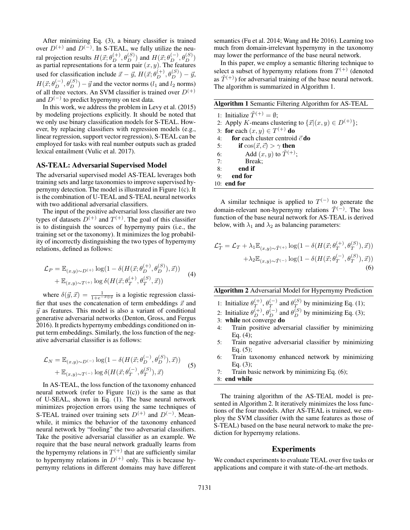After minimizing Eq. (3), a binary classifier is trained over  $D^{(+)}$  and  $D^{(-)}$ . In S-TEAL, we fully utilize the neural projection results  $H(\vec{x}; \theta_D^{(+)}, \theta_D^{(S)})$  and  $H(\vec{x}; \theta_D^{(-)}, \theta_D^{(S)})$ as partial representations for a term pair  $(x, y)$ . The features used for classification include  $\vec{x} - \vec{y}$ ,  $H(\vec{x}; \theta_D^{(+)}, \theta_D^{(S)}) - \vec{y}$ ,  $H(\vec{x}; \theta_D^{(-)}, \theta_D^{(S)}) - \vec{y}$  and the vector norms ( $l_1$  and  $l_2$  norms) of all three vectors. An SVM classifier is trained over  $D^{(+)}$ and  $D^{(-)}$  to predict hypernymy on test data.

In this work, we address the problem in Levy et al. (2015) by modeling projections explicitly. It should be noted that we only use binary classification models for S-TEAL. However, by replacing classifiers with regression models (e.g., linear regression, support vector regression), S-TEAL can be employed for tasks with real number outputs such as graded lexical entailment (Vulic et al. 2017).

## AS-TEAL: Adversarial Supervised Model

The adversarial supervised model AS-TEAL leverages both training sets and large taxonomies to improve supervised hypernymy detection. The model is illustrated in Figure 1(c). It is the combination of U-TEAL and S-TEAL neural networks with two additional adversarial classifiers.

The input of the positive adversarial loss classifier are two types of datasets  $D^{(+)}$  and  $T^{(+)}$ . The goal of this classifier is to distinguish the sources of hypernymy pairs (i.e., the training set or the taxonomy). It minimizes the log probability of incorrectly distinguishing the two types of hypernymy relations, defined as follows:

$$
\mathcal{L}_P = \mathbb{E}_{(x,y)\sim D^{(+)}} \log(1 - \delta(H(\vec{x}; \theta_D^{(+)}, \theta_D^{(S)}), \vec{x})) \n+ \mathbb{E}_{(x,y)\sim T^{(+)}} \log \delta(H(\vec{x}; \theta_T^{(+)}, \theta_T^{(S)}, \vec{x}))
$$
\n(4)

where  $\delta(\vec{y}, \vec{x}) = \frac{1}{1 + e^{-\vec{x} \oplus \vec{y}}}$  is a logistic regression classifier that uses the concatenation of term embeddings  $\vec{x}$  and  $\vec{y}$  as features. This model is also a variant of conditional generative adversarial networks (Denton, Gross, and Fergus 2016). It predicts hypernymy embeddings conditioned on input term embeddings. Similarly, the loss function of the negative adversarial classifier is as follows:

$$
\mathcal{L}_N = \mathbb{E}_{(x,y)\sim D^{(-)}} \log(1 - \delta(H(\vec{x}; \theta_D^{(-)}, \theta_D^{(S)}), \vec{x})) \n+ \mathbb{E}_{(x,y)\sim T^{(-)}} \log \delta(H(\vec{x}; \theta_T^{(-)}, \theta_T^{(S)}), \vec{x})
$$
\n(5)

In AS-TEAL, the loss function of the taxonomy enhanced neural network (refer to Figure  $1(c)$ ) is the same as that of U-SEAL, shown in Eq. (1). The base neural network minimizes projection errors using the same techniques of S-TEAL trained over training sets  $D^{(+)}$  and  $D^{(-)}$ . Meanwhile, it mimics the behavior of the taxonomy enhanced neural network by "fooling" the two adversarial classifiers. Take the positive adversarial classifier as an example. We require that the base neural network gradually learns from the hypernymy relations in  $T^{(+)}$  that are sufficiently similar to hypernymy relations in  $D^{(+)}$  only. This is because hypernymy relations in different domains may have different

semantics (Fu et al. 2014; Wang and He 2016). Learning too much from domain-irrelevant hypernymy in the taxonomy may lower the performance of the base neural network.

In this paper, we employ a semantic filtering technique to select a subset of hypernymy relations from  $T^{(+)}$  (denoted as  $\tilde{T}^{(+)}$  for adversarial training of the base neural network. The algorithm is summarized in Algorithm 1.

| Algorithm 1 Semantic Filtering Algorithm for AS-TEAL |  |  |  |  |  |  |
|------------------------------------------------------|--|--|--|--|--|--|
|                                                      |  |  |  |  |  |  |

1: Initialize  $\tilde{T}^{(+)} = \emptyset$ : 2: Apply K-means clustering to  $\{\vec{x} | (x, y) \in D^{(+)}\};$ 3: for each  $(x, y) \in T^{(+)}$  do 4: for each cluster centroid  $\vec{c}$  do 5: if  $\cos(\vec{x}, \vec{c}) > \gamma$  then 6: Add  $(x, y)$  to  $\tilde{T}^{(+)}$ ; 7: Break; 8: end if 9: end for 10: end for

A similar technique is applied to  $T^{(-)}$  to generate the domain-relevant non-hypernymy relations  $\tilde{T}^{(-)}$ . The loss function of the base neural network for AS-TEAL is derived below, with  $\lambda_1$  and  $\lambda_2$  as balancing parameters:

$$
\mathcal{L}_T^* = \mathcal{L}_T + \lambda_1 \mathbb{E}_{(x,y)\sim \tilde{T}^{(+)}} \log(1 - \delta(H(\vec{x}; \theta_T^{(+)}, \theta_T^{(S)}), \vec{x})) \n+ \lambda_2 \mathbb{E}_{(x,y)\sim \tilde{T}^{(-)}} \log(1 - \delta(H(\vec{x}; \theta_T^{(-)}, \theta_T^{(S)}), \vec{x}))
$$
\n(6)

## Algorithm 2 Adversarial Model for Hypernymy Prediction

- 1: Initialize  $\theta_T^{(+)}$  $\overset{(+)}{T}, \theta_{T}^{(-)}$  $T^{(-)}$  and  $\theta_T^{(S)}$  $T$  by minimizing Eq. (1);
- 2: Initialize  $\theta_D^{(+)}$ ,  $\theta_D^{(-)}$  and  $\theta_D^{(S)}$  by minimizing Eq. (3);
- 3: while not converge do
- 4: Train positive adversarial classifier by minimizing Eq. (4);
- 5: Train negative adversarial classifier by minimizing Eq. (5);
- 6: Train taxonomy enhanced network by minimizing Eq. (3);
- 7: Train basic network by minimizing Eq. (6);
- 8: end while

The training algorithm of the AS-TEAL model is presented in Algorithm 2. It iteratively minimizes the loss functions of the four models. After AS-TEAL is trained, we employ the SVM classifier (with the same features as those of S-TEAL) based on the base neural network to make the prediction for hypernymy relations.

#### Experiments

We conduct experiments to evaluate TEAL over five tasks or applications and compare it with state-of-the-art methods.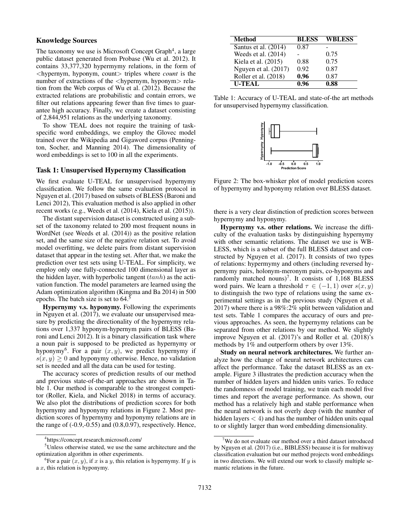## Knowledge Sources

The taxonomy we use is Microsoft Concept Graph<sup>4</sup>, a large public dataset generated from Probase (Wu et al. 2012). It contains 33,377,320 hypermymy relations, in the form of <hypernym, hyponym, count> triples where *count* is the number of extractions of the <hypernym, hyponym> relation from the Web corpus of Wu et al. (2012). Because the extracted relations are probabilistic and contain errors, we filter out relations appearing fewer than five times to guarantee high accuracy. Finally, we create a dataset consisting of 2,844,951 relations as the underlying taxonomy.

To show TEAL does not require the training of taskspecific word embeddings, we employ the Glovec model trained over the Wikipedia and Gigaword corpus (Pennington, Socher, and Manning 2014). The dimensionality of word embeddings is set to 100 in all the experiments.

#### Task 1: Unsupervised Hypernymy Classification

We first evaluate U-TEAL for unsupervised hypernymy classification. We follow the same evaluation protocol in Nguyen et al. (2017) based on subsets of BLESS (Baroni and Lenci 2012), This evaluation method is also applied in other recent works (e.g., Weeds et al. (2014), Kiela et al. (2015)).

The distant supervision dataset is constructed using a subset of the taxonomy related to 200 most frequent nouns in WordNet (see Weeds et al. (2014)) as the positive relation set, and the same size of the negative relation set. To avoid model overfitting, we delete pairs from distant supervision dataset that appear in the testing set. After that, we make the prediction over test sets using U-TEAL. For simplicity, we employ only one fully-connected 100 dimensional layer as the hidden layer, with hyperbolic tangent  $(tanh)$  as the activation function. The model parameters are learned using the Adam optimization algorithm (Kingma and Ba 2014) in 500 epochs. The batch size is set to 64.<sup>5</sup>

Hypernymy v.s. hyponymy. Following the experiments in Nguyen et al. (2017), we evaluate our unsupervised measure by predicting the directionality of the hypernymy relations over 1,337 hyponym-hypernym pairs of BLESS (Baroni and Lenci 2012). It is a binary classification task where a noun pair is supposed to be predicted as hypernymy or hyponymy<sup>6</sup>. For a pair  $(x, y)$ , we predict hypernymy if  $s(x, y) > 0$  and hyponymy otherwise. Hence, no validation set is needed and all the data can be used for testing.

The accuracy scores of prediction results of our method and previous state-of-the-art approaches are shown in Table 1. Our method is comparable to the strongest competitor (Roller, Kiela, and Nickel 2018) in terms of accuracy. We also plot the distributions of prediction scores for both hypernymy and hyponymy relations in Figure 2. Most prediction scores of hypernymy and hyponymy relations are in the range of  $(-0.9,-0.55)$  and  $(0.8,0.97)$ , respectively. Hence,

| Method               | <b>BLESS</b>      | <b>WBLESS</b> |
|----------------------|-------------------|---------------|
| Santus et al. (2014) | 0.87              |               |
| Weeds et al. (2014)  |                   | 0.75          |
| Kiela et al. (2015)  | 0.88              | 0.75          |
| Nguyen et al. (2017) | 0.92              | 0.87          |
| Roller et al. (2018) | 0.96              | 0.87          |
| <b>U-TEAL</b>        | $\overline{0.96}$ | 0.88          |

Table 1: Accuracy of U-TEAL and state-of-the art methods for unsupervised hypernymy classification.



Figure 2: The box-whisker plot of model prediction scores of hypernymy and hyponymy relation over BLESS dataset.

there is a very clear distinction of prediction scores between hypernymy and hyponymy.

Hypernymy v.s. other relations. We increase the difficulty of the evaluation tasks by distinguishing hypernymy with other semantic relations. The dataset we use is WB-LESS, which is a subset of the full BLESS dataset and constructed by Nguyen et al. (2017). It consists of two types of relations: hypermymy and others (including reversed hypernymy pairs, holonym-meronym pairs, co-hyponyms and randomly matched nouns)<sup>7</sup>. It consists of  $1,168$  BLESS word pairs. We learn a threshold  $\tau \in (-1, 1)$  over  $s(x, y)$ to distinguish the two type of relations using the same experimental settings as in the previous study (Nguyen et al. 2017) where there is a 98%:2% split between validation and test sets. Table 1 compares the accuracy of ours and previous approaches. As seen, the hypernymy relations can be separated from other relations by our method. We slightly improve Nguyen et al. (2017)'s and Roller et al. (2018)'s methods by 1% and outperform others by over 13%.

Study on neural network architectures. We further analyze how the change of neural network architectures can affect the performance. Take the dataset BLESS as an example. Figure 3 illustrates the prediction accuracy when the number of hidden layers and hidden units varies. To reduce the randomness of model training, we train each model five times and report the average performance. As shown, our method has a relatively high and stable performance when the neural network is not overly deep (with the number of hidden layers  $<$  4) and has the number of hidden units equal to or slightly larger than word embedding dimensionality.

<sup>4</sup> https://concept.research.microsoft.com/

<sup>5</sup>Unless otherwise stated, we use the same architecture and the optimization algorithm in other experiments.

<sup>&</sup>lt;sup>6</sup>For a pair  $(x, y)$ , if x is a y, this relation is hypernymy. If y is a x, this relation is hyponymy.

 $7$ We do not evaluate our method over a third dataset introduced by Nguyen et al. (2017) (i.e., BIBLESS) because it is for multiway classification evaluation but our method projects word embeddings in two directions. We will extend our work to classify multiple semantic relations in the future.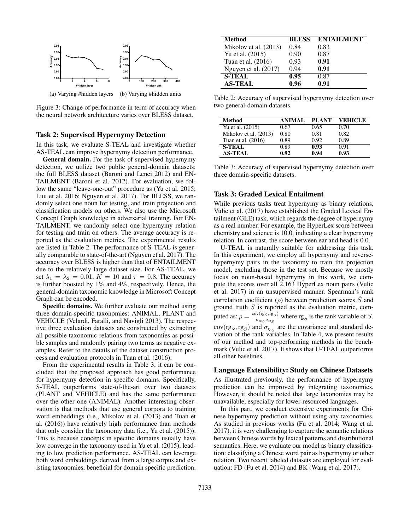

Figure 3: Change of performance in term of accuracy when the neural network architecture varies over BLESS dataset.

#### Task 2: Supervised Hypernymy Detection

In this task, we evaluate S-TEAL and investigate whether AS-TEAL can improve hypernymy detection performance.

General domain. For the task of supervised hypernymy detection, we utilize two public general-domain datasets: the full BLESS dataset (Baroni and Lenci 2012) and EN-TAILMENT (Baroni et al. 2012). For evaluation, we follow the same "leave-one-out" procedure as (Yu et al. 2015; Luu et al. 2016; Nguyen et al. 2017). For BLESS, we randomly select one noun for testing, and train projection and classification models on others. We also use the Microsoft Concept Graph knowledge in adversarial training. For EN-TAILMENT, we randomly select one hypernymy relation for testing and train on others. The average accuracy is reported as the evaluation metrics. The experimental results are listed in Table 2. The performance of S-TEAL is generally comparable to state-of-the-art (Nguyen et al. 2017). The accuracy over BLESS is higher than that of ENTAILMENT due to the relatively large dataset size. For AS-TEAL, we set  $\lambda_1 = \lambda_2 = 0.01$ ,  $K = 10$  and  $\tau = 0.8$ . The accuracy is further boosted by 1% and 4%, respectively. Hence, the general-domain taxonomic knowledge in Microsoft Concept Graph can be encoded.

Specific domains. We further evaluate our method using three domain-specific taxonomies: ANIMAL, PLANT and VEHICLE (Velardi, Faralli, and Navigli 2013). The respective three evaluation datasets are constructed by extracting all possible taxonomic relations from taxonomies as possible samples and randomly pairing two terms as negative examples. Refer to the details of the dataset construction process and evaluation protocols in Tuan et al. (2016).

From the experimental results in Table 3, it can be concluded that the proposed approach has good performance for hypernymy detection in specific domains. Specifically, S-TEAL outperforms state-of-the-art over two datasets (PLANT and VEHICLE) and has the same performance over the other one (ANIMAL). Another interesting observation is that methods that use general corpora to training word embeddings (i.e., Mikolov et al. (2013) and Tuan et al. (2016)) have relatively high performance than methods that only consider the taxonomy data (i.e., Yu et al. (2015)). This is because concepts in specific domains usually have low converge in the taxonomy used in Yu et al. (2015), leading to low prediction performance. AS-TEAL can leverage both word embeddings derived from a large corpus and existing taxonomies, beneficial for domain specific prediction.

| <b>Method</b>           | <b>BLESS</b> | <b>ENTAILMENT</b> |
|-------------------------|--------------|-------------------|
| Mikolov et al. $(2013)$ | 0.84         | 0.83              |
| Yu et al. (2015)        | 0.90         | 0.87              |
| Tuan et al. (2016)      | 0.93         | 0.91              |
| Nguyen et al. (2017)    | 0.94         | 0.91              |
| <b>S-TEAL</b>           | 0.95         | 0.87              |
| <b>AS-TEAL</b>          | 0.96         | 0.91              |

Table 2: Accuracy of supervised hypernymy detection over two general-domain datasets.

| Method                | ANIMAL. | <b>PLANT</b> | <b>VEHICLE</b> |
|-----------------------|---------|--------------|----------------|
| Yu et al. (2015)      | 0.67    | 0.65         | 0.70           |
| Mikolov et al. (2013) | 0.80    | 0.81         | 0.82           |
| Tuan et al. (2016)    | 0.89    | 0.92         | 0.89           |
| <b>S-TEAL</b>         | 0.89    | 0.93         | 0.91           |
| <b>AS-TEAL</b>        | 0.92    | 0.94         | 0.93           |

Table 3: Accuracy of supervised hypernymy detection over three domain-specific datasets.

## Task 3: Graded Lexical Entailment

While previous tasks treat hypernymy as binary relations, Vulic et al. (2017) have established the Graded Lexical Entailment (GLE) task, which regards the degree of hypernymy as a real number. For example, the HyperLex score between chemistry and science is 10.0, indicating a clear hypernymy relation. In contrast, the score between ear and head is 0.0.

U-TEAL is naturally suitable for addressing this task. In this experiment, we employ all hypernymy and reversehypernymy pairs in the taxonomy to train the projection model, excluding those in the test set. Because we mostly focus on noun-based hypernymy in this work, we compute the scores over all 2,163 HyperLex noun pairs (Vulic et al. 2017) in an unsupervised manner. Spearman's rank correlation coefficient  $(\rho)$  between prediction scores S and ground truth  $S$  is reported as the evaluation metric, computed as:  $\rho = \frac{\text{cov}(\text{rg}_{\tilde{S}},\text{rg}_{S})}{\sigma_{\text{eq}}/\sigma_{\text{eq}}}$  $\frac{\sqrt{v}(\text{rg}_{\tilde{S}}, \text{rg}_{S})}{\sigma_{\text{rg}_{\tilde{S}}}\sigma_{\text{rg}_{S}}}$  where  $\text{rg}_{S}$  is the rank variable of S.  $cov(rg_{\tilde{S}},rg_S)$  and  $\sigma_{rg_S}$  are the covariance and standard deviation of the rank variables. In Table 4, we present results of our method and top-performing methods in the benchmark (Vulic et al. 2017). It shows that U-TEAL outperforms all other baselines.

#### Language Extensibility: Study on Chinese Datasets

As illustrated previously, the performance of hypernymy prediction can be improved by integrating taxonomies. However, it should be noted that large taxonomies may be unavailable, especially for lower-resourced languages.

In this part, we conduct extensive experiments for Chinese hypernymy prediction without using any taxonomies. As studied in previous works (Fu et al. 2014; Wang et al. 2017), it is very challenging to capture the semantic relations between Chinese words by lexical patterns and distributional semantics. Here, we evaluate our model as binary classification: classifying a Chinese word pair as hypermymy or other relation. Two recent labeled datasets are employed for evaluation: FD (Fu et al. 2014) and BK (Wang et al. 2017).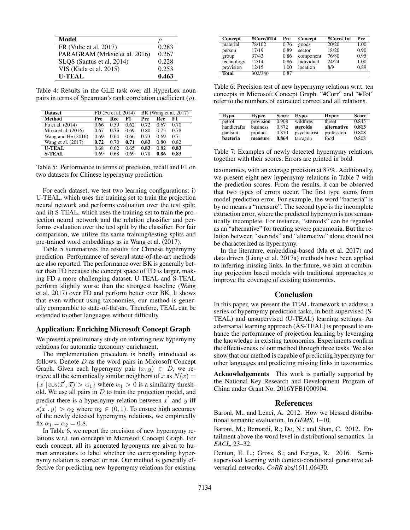| Model                         | IJ    |
|-------------------------------|-------|
| FR (Vulic et al. 2017)        | 0.283 |
| PARAGRAM (Mrksic et al. 2016) | 0.267 |
| SLQS (Santus et al. 2014)     | 0.228 |
| VIS (Kiela et al. 2015)       | 0.253 |
| <b>U-TEAL</b>                 | 0.463 |

Table 4: Results in the GLE task over all HyperLex noun pairs in terms of Spearman's rank correlation coefficient  $(\rho)$ .

| <b>Dataset</b>        |      | FD (Fu et al. 2014) |      |      |      | BK (Wang et al. 2017) |
|-----------------------|------|---------------------|------|------|------|-----------------------|
| Method                | Pre  | Rec                 | F1   | Pre  | Rec  | F1                    |
| Fu et al. (2014)      | 0.66 | 0.59                | 0.62 | 0.72 | 0.67 | 0.70                  |
| Mirza et al. $(2016)$ | 0.67 | 0.75                | 0.69 | 0.80 | 0.75 | 0.78                  |
| Wang and He $(2016)$  | 0.69 | 0.64                | 0.66 | 0.73 | 0.69 | 0.71                  |
| Wang et al. (2017)    | 0.72 | 0.70                | 0.71 | 0.83 | 0.80 | 0.82                  |
| <b>U-TEAL</b>         | 0.68 | 0.62                | 0.65 | 0.83 | 0.82 | 0.83                  |
| <b>S-TEAL</b>         | 0.69 | 0.68                | 0.69 | 0.78 | 0.86 | 0.83                  |

Table 5: Performance in terms of precision, recall and F1 on two datasets for Chinese hypernymy prediction.

For each dataset, we test two learning configurations: i) U-TEAL, which uses the training set to train the projection neural network and performs evaluation over the test spilt; and ii) S-TEAL, which uses the training set to train the projection neural network and the relation classifier and performs evaluation over the test spilt by the classifier. For fair comparison, we utilize the same training/testing splits and pre-trained word embeddings as in Wang et al. (2017).

Table 5 summarizes the results for Chinese hypernymy prediction. Performance of several state-of-the-art methods are also reported. The performance over BK is generally better than FD because the concept space of FD is larger, making FD a more challenging dataset. U-TEAL and S-TEAL perform slightly worse than the strongest baseline (Wang et al. 2017) over FD and perform better over BK. It shows that even without using taxonomies, our method is generally comparable to state-of-the-art. Therefore, TEAL can be extended to other languages without difficulty.

#### Application: Enriching Microsoft Concept Graph

We present a preliminary study on inferring new hypernymy relations for automatic taxonomy enrichment.

The implementation procedure is briefly introduced as follows. Denote  $D$  as the word pairs in Microsoft Concept Graph. Given each hypernymy pair  $(x, y) \in D$ , we retrieve all the semantically similar neighbors of x as  $N(x) =$  ${x'|\cos(\vec{x}', \vec{x}) > \alpha_1}$  where  $\alpha_1 > 0$  is a similarity threshold. We use all pairs in  $D$  to train the projection model, and predict there is a hypernymy relation between  $x'$  and  $y$  iff  $s(x', y) > \alpha_2$  where  $\alpha_2 \in (0, 1)$ . To ensure high accuracy of the newly detected hypernymy relations, we empirically fix  $\alpha_1 = \alpha_2 = 0.8$ .

In Table 6, we report the precision of new hypernymy relations w.r.t. ten concepts in Microsoft Concept Graph. For each concept, all its generated hyponyms are given to human annotators to label whether the corresponding hypernymy relation is correct or not. Our method is generally effective for predicting new hypernymy relations for existing

| Concept      | #Corr/#Tot | Pre  | Concept    | #Corr#Tot | Pre  |
|--------------|------------|------|------------|-----------|------|
| material     | 78/102     | 0.76 | goods      | 20/20     | 1.00 |
| person       | 17/19      | 0.89 | sector     | 18/20     | 0.90 |
| group        | 37/43      | 0.86 | component  | 76/80     | 0.95 |
| technology   | 12/14      | 0.86 | individual | 24/24     | 1.00 |
| provision    | 12/15      | 1.00 | location   | 8/9       | 0.89 |
| <b>Total</b> | 302/346    | 0.87 |            |           |      |

Table 6: Precision test of new hypernymy relations w.r.t. ten concepts in Microsoft Concept Graph. "#Corr" and "#Tot" refer to the numbers of extracted correct and all relations.

| Hypo.       | Hyper.    | Score | Hvpo.        | Hyper.      | Score |
|-------------|-----------|-------|--------------|-------------|-------|
| petrol      | provision | 0.908 | wildfires    | threat      | 0.845 |
| handicrafts | business  | 0.872 | steroids     | alternative | 0.813 |
| pantsuit    | product   | 0.870 | psychiatrist | profession  | 0.808 |
| hacteria    | measure   | 0.864 | tarragon     | food        | 0.808 |

Table 7: Examples of newly detected hypernymy relations, together with their scores. Errors are printed in bold.

taxonomies, with an average precision at 87%. Additionally, we present eight new hypernymy relations in Table 7 with the prediction scores. From the results, it can be observed that two types of errors occur. The first type stems from model prediction error. For example, the word "bacteria" is by no means a "measure". The second type is the incomplete extraction error, where the predicted hypernym is not semantically incomplete. For instance, "steroids" can be regarded as an "alternative" for treating severe pneumonia. But the relation between "steroids" and "alternative" alone should not be characterized as hypernymy.

In the literature, embedding-based (Ma et al. 2017) and data driven (Liang et al. 2017a) methods have been applied to inferring missing links. In the future, we aim at combining projection based models with traditional approaches to improve the coverage of existing taxonomies.

#### Conclusion

In this paper, we present the TEAL framework to address a series of hypernymy prediction tasks, in both supervised (S-TEAL) and unsupervised (U-TEAL) learning settings. An adversarial learning approach (AS-TEAL) is proposed to enhance the performance of projection learning by leveraging the knowledge in existing taxonomies. Experiments confirm the effectiveness of our method through three tasks. We also show that our method is capable of predicting hypernymy for other languages and predicting missing links in taxonomies.

Acknowledgements This work is partially supported by the National Key Research and Development Program of China under Grant No. 2016YFB1000904.

#### References

Baroni, M., and Lenci, A. 2012. How we blessed distributional semantic evaluation. In *GEMS*, 1–10.

Baroni, M.; Bernardi, R.; Do, N.; and Shan, C. 2012. Entailment above the word level in distributional semantics. In *EACL*, 23–32.

Denton, E. L.; Gross, S.; and Fergus, R. 2016. Semisupervised learning with context-conditional generative adversarial networks. *CoRR* abs/1611.06430.